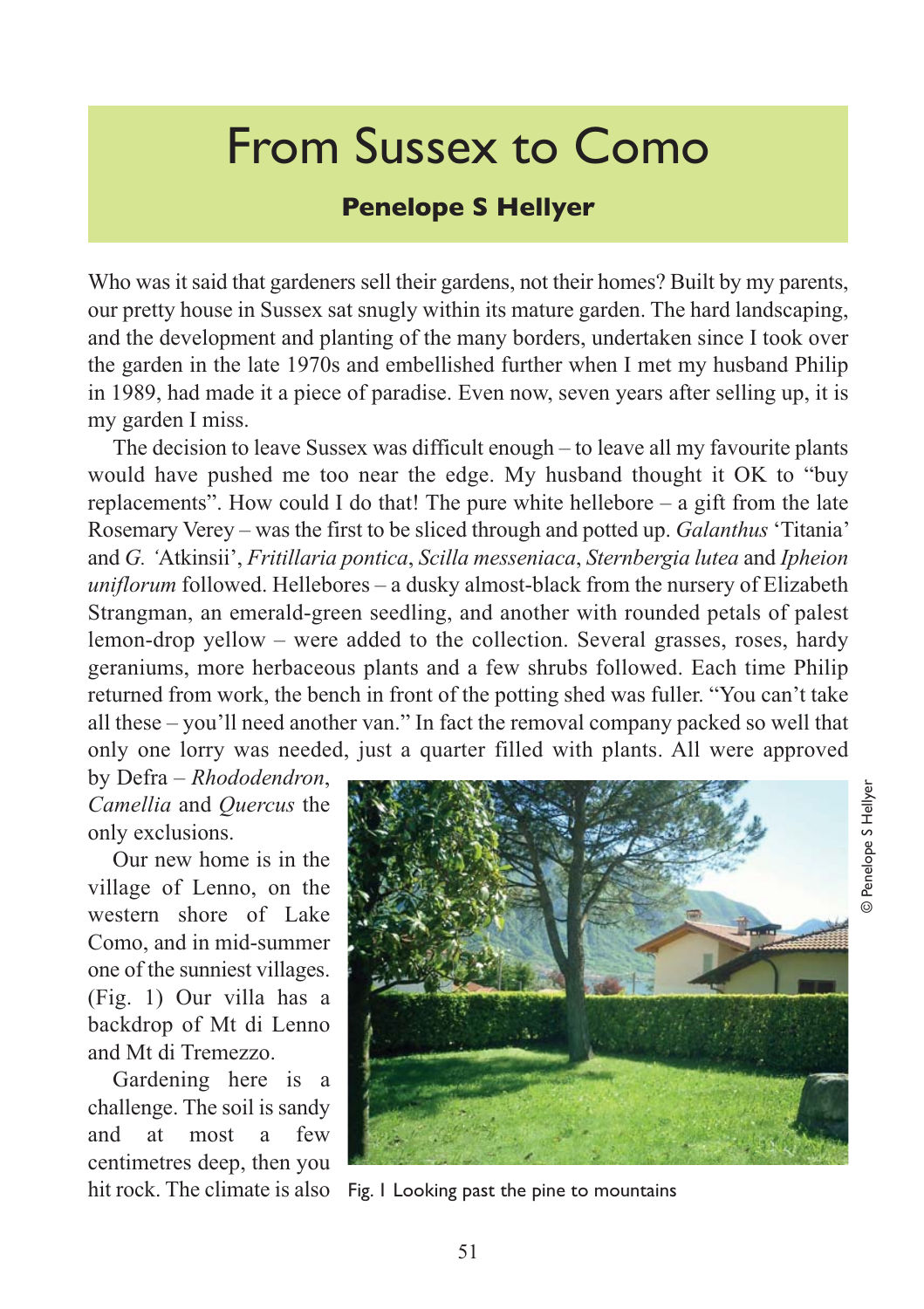## From Sussex to Como

## **Penelope S Hellyer**

Who was it said that gardeners sell their gardens, not their homes? Built by my parents, our pretty house in Sussex sat snugly within its mature garden. The hard landscaping, and the development and planting of the many borders, undertaken since I took over the garden in the late 1970s and embellished further when I met my husband Philip in 1989, had made it a piece of paradise. Even now, seven years after selling up, it is my garden I miss.

The decision to leave Sussex was difficult enough – to leave all my favourite plants would have pushed me too near the edge. My husband thought it OK to "buy replacements". How could I do that! The pure white hellebore  $-$  a gift from the late Rosemary Verey – was the first to be sliced through and potted up. *Galanthus* 'Titania' and *G. '*Atkinsii', *Fritillaria pontica*, *Scilla messeniaca*, *Sternbergia lutea* and *Ipheion uniflorum* followed. Hellebores – a dusky almost-black from the nursery of Elizabeth Strangman, an emerald-green seedling, and another with rounded petals of palest lemon-drop yellow – were added to the collection. Several grasses, roses, hardy geraniums, more herbaceous plants and a few shrubs followed. Each time Philip returned from work, the bench in front of the potting shed was fuller. "You can't take all these – you'll need another van." In fact the removal company packed so well that only one lorry was needed, just a quarter filled with plants. All were approved

by Defra – *Rhododendron*, *Camellia* and *Quercus* the only exclusions.

Our new home is in the village of Lenno, on the western shore of Lake Como, and in mid-summer one of the sunniest villages. (Fig. 1) Our villa has a backdrop of Mt di Lenno and Mt di Tremezzo.

Gardening here is a challenge. The soil is sandy and at most a few centimetres deep, then you



hit rock. The climate is also Fig. 1 Looking past the pine to mountains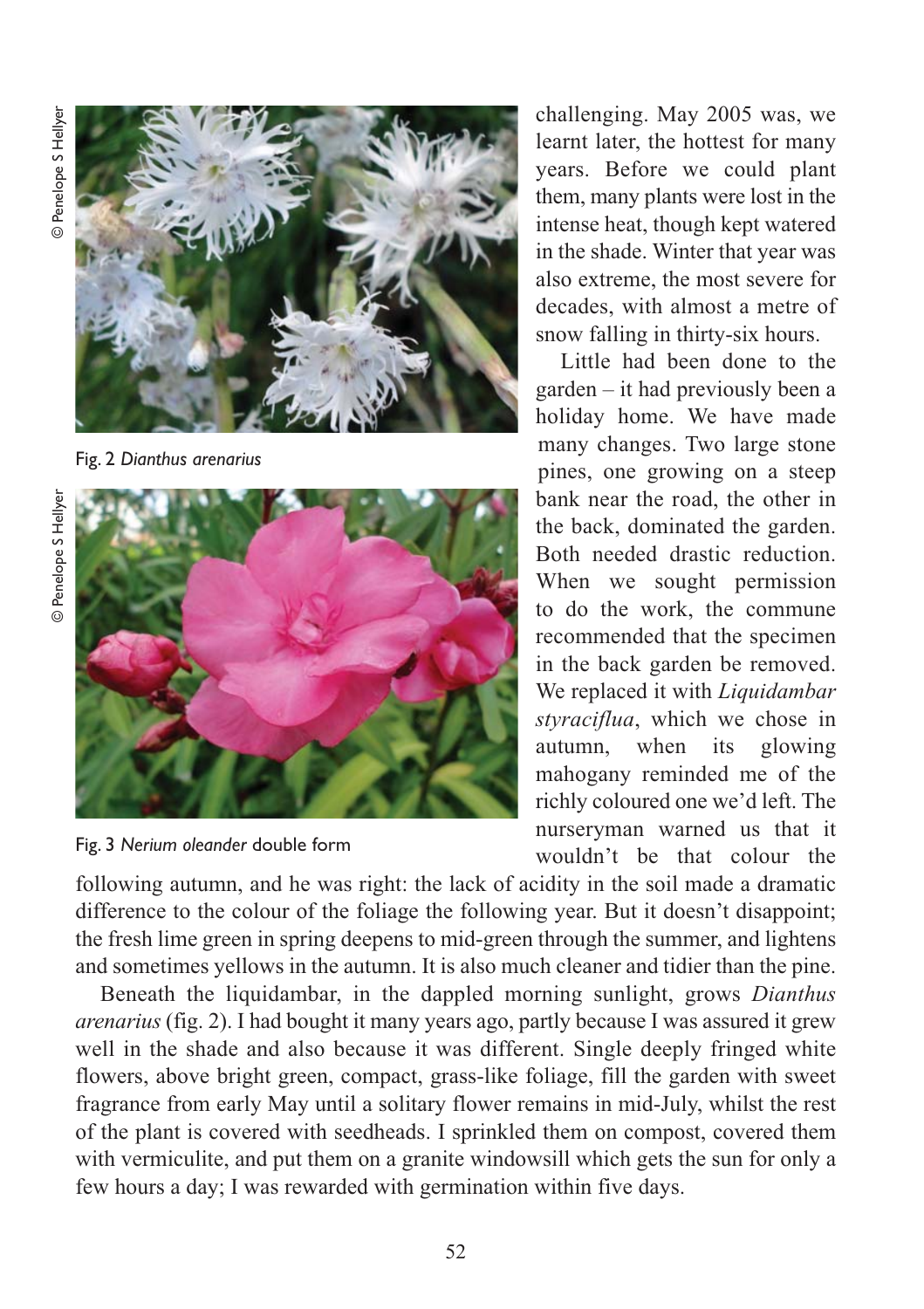

Fig. 2 *Dianthus arenarius*





challenging. May 2005 was, we learnt later, the hottest for many years. Before we could plant them, many plants were lost in the intense heat, though kept watered in the shade. Winter that year was also extreme, the most severe for decades, with almost a metre of snow falling in thirty-six hours.

Little had been done to the garden – it had previously been a holiday home. We have made many changes. Two large stone pines, one growing on a steep bank near the road, the other in the back, dominated the garden. Both needed drastic reduction. When we sought permission to do the work, the commune recommended that the specimen in the back garden be removed. We replaced it with *Liquidambar styraciflua*, which we chose in autumn, when its glowing mahogany reminded me of the richly coloured one we'd left. The nurseryman warned us that it wouldn't be that colour the

following autumn, and he was right: the lack of acidity in the soil made a dramatic difference to the colour of the foliage the following year. But it doesn't disappoint; the fresh lime green in spring deepens to mid-green through the summer, and lightens and sometimes yellows in the autumn. It is also much cleaner and tidier than the pine.

Beneath the liquidambar, in the dappled morning sunlight, grows *Dianthus arenarius* (fig. 2). I had bought it many years ago, partly because I was assured it grew well in the shade and also because it was different. Single deeply fringed white flowers, above bright green, compact, grass-like foliage, fill the garden with sweet fragrance from early May until a solitary flower remains in mid-July, whilst the rest of the plant is covered with seedheads. I sprinkled them on compost, covered them with vermiculite, and put them on a granite windowsill which gets the sun for only a few hours a day; I was rewarded with germination within five days.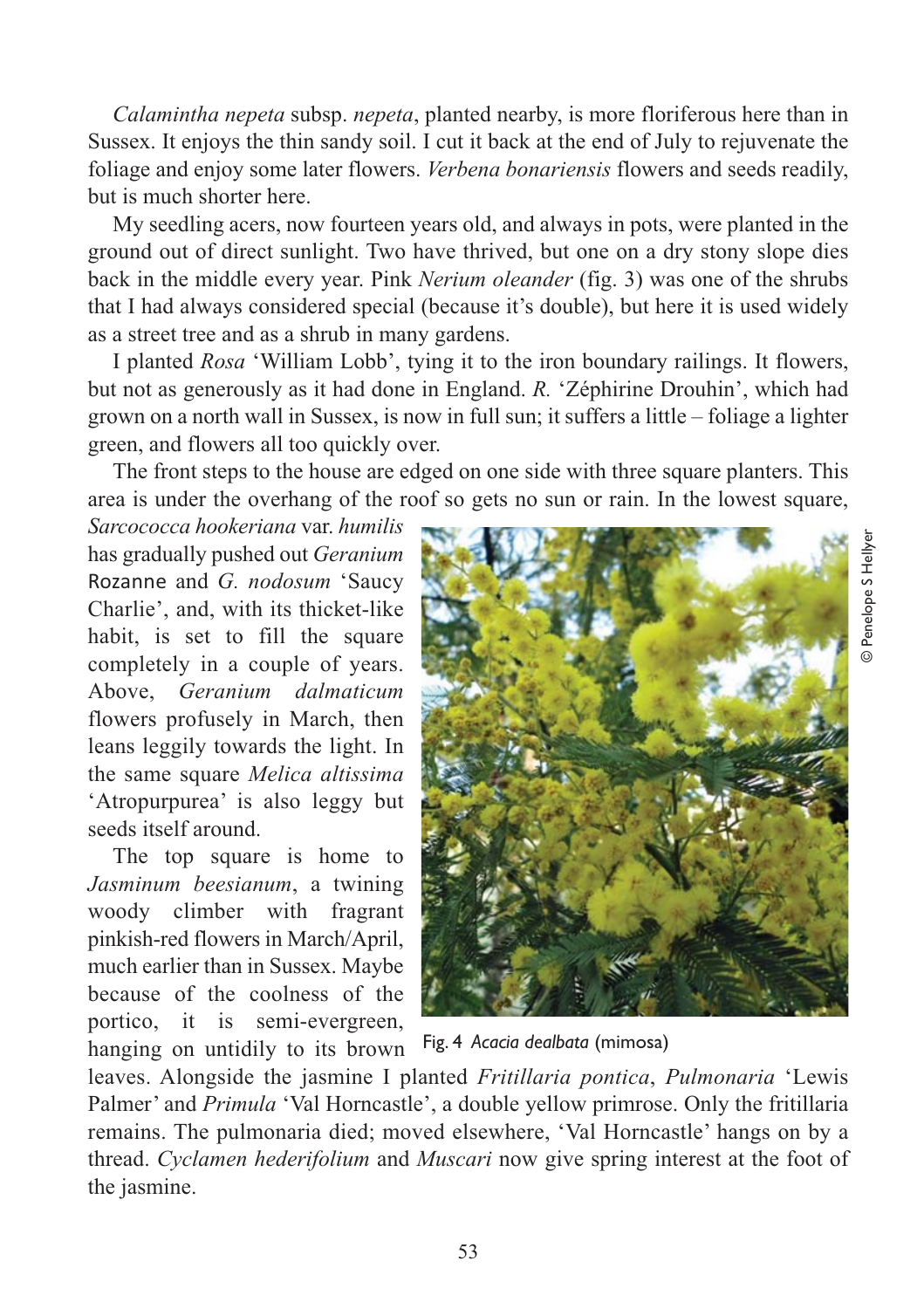*Calamintha nepeta* subsp. *nepeta*, planted nearby, is more floriferous here than in Sussex. It enjoys the thin sandy soil. I cut it back at the end of July to rejuvenate the foliage and enjoy some later flowers. *Verbena bonariensis* flowers and seeds readily, but is much shorter here.

My seedling acers, now fourteen years old, and always in pots, were planted in the ground out of direct sunlight. Two have thrived, but one on a dry stony slope dies back in the middle every year. Pink *Nerium oleander* (fig. 3) was one of the shrubs that I had always considered special (because it's double), but here it is used widely as a street tree and as a shrub in many gardens.

I planted *Rosa* 'William Lobb', tying it to the iron boundary railings. It flowers, but not as generously as it had done in England. *R.* 'Zéphirine Drouhin', which had grown on a north wall in Sussex, is now in full sun; it suffers a little – foliage a lighter green, and flowers all too quickly over.

The front steps to the house are edged on one side with three square planters. This area is under the overhang of the roof so gets no sun or rain. In the lowest square,

*Sarcococca hookeriana* var. *humilis* has gradually pushed out *Geranium* Rozanne and *G. nodosum* 'Saucy Charlie', and, with its thicket-like habit, is set to fill the square completely in a couple of years. Above, *Geranium dalmaticum* flowers profusely in March, then leans leggily towards the light. In the same square *Melica altissima* 'Atropurpurea' is also leggy but seeds itself around.

The top square is home to *Jasminum beesianum*, a twining woody climber with fragrant pinkish-red flowers in March/April, much earlier than in Sussex. Maybe because of the coolness of the portico, it is semi-evergreen, hanging on untidily to its brown



Fig. 4 *Acacia dealbata* (mimosa)

leaves. Alongside the jasmine I planted *Fritillaria pontica*, *Pulmonaria* 'Lewis Palmer' and *Primula* 'Val Horncastle', a double yellow primrose. Only the fritillaria remains. The pulmonaria died; moved elsewhere, 'Val Horncastle' hangs on by a thread. *Cyclamen hederifolium* and *Muscari* now give spring interest at the foot of the jasmine.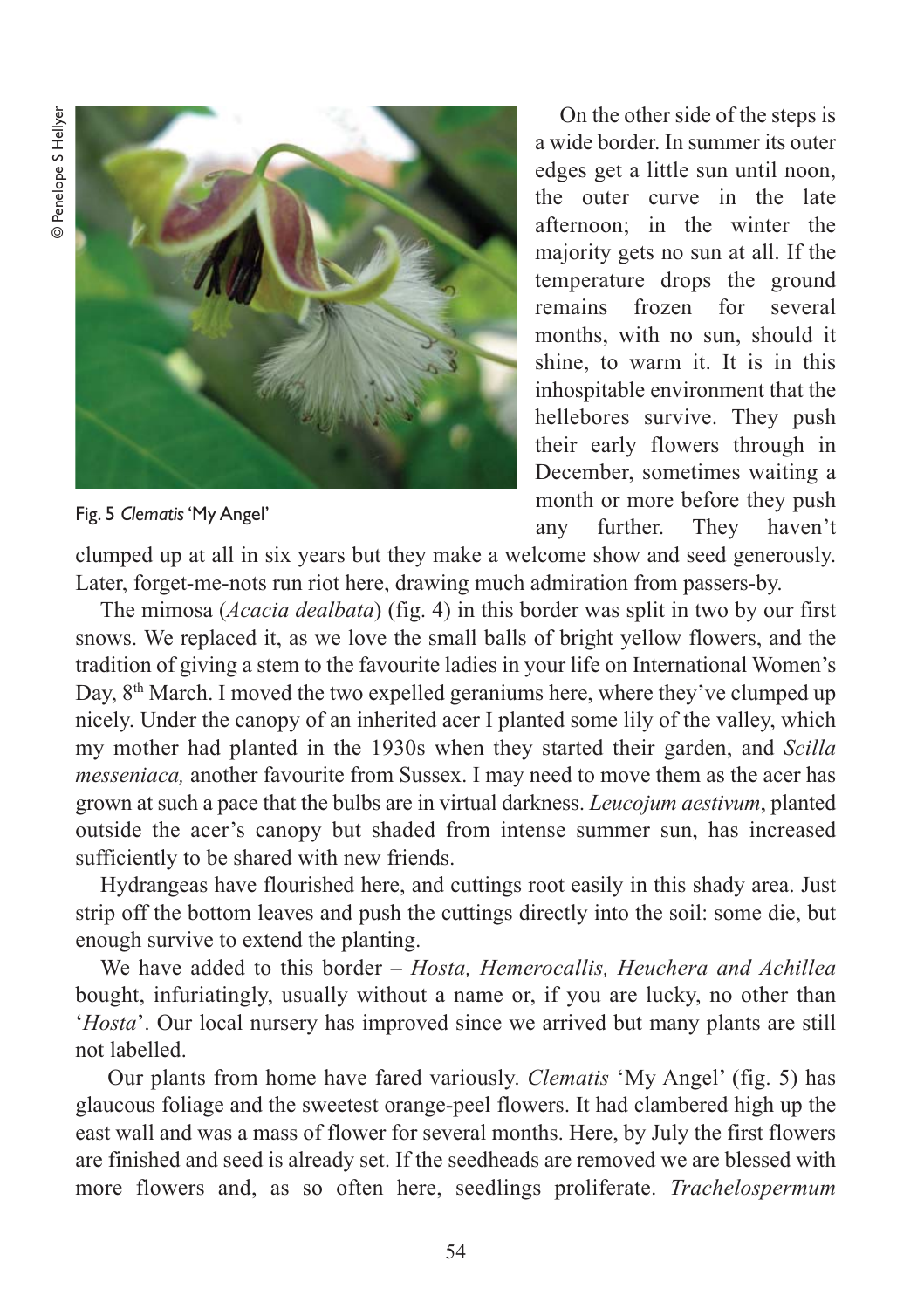

Fig. 5 *Clematis* 'My Angel'

On the other side of the steps is a wide border. In summer its outer edges get a little sun until noon, the outer curve in the late afternoon; in the winter the majority gets no sun at all. If the temperature drops the ground remains frozen for several months, with no sun, should it shine, to warm it. It is in this inhospitable environment that the hellebores survive. They push their early flowers through in December, sometimes waiting a month or more before they push any further. They haven't

clumped up at all in six years but they make a welcome show and seed generously. Later, forget-me-nots run riot here, drawing much admiration from passers-by.

The mimosa (*Acacia dealbata*) (fig. 4) in this border was split in two by our first snows. We replaced it, as we love the small balls of bright yellow flowers, and the tradition of giving a stem to the favourite ladies in your life on International Women's Day, 8<sup>th</sup> March. I moved the two expelled geraniums here, where they've clumped up nicely. Under the canopy of an inherited acer I planted some lily of the valley, which my mother had planted in the 1930s when they started their garden, and *Scilla messeniaca,* another favourite from Sussex. I may need to move them as the acer has grown at such a pace that the bulbs are in virtual darkness. *Leucojum aestivum*, planted outside the acer's canopy but shaded from intense summer sun, has increased sufficiently to be shared with new friends.

Hydrangeas have flourished here, and cuttings root easily in this shady area. Just strip off the bottom leaves and push the cuttings directly into the soil: some die, but enough survive to extend the planting.

We have added to this border – *Hosta, Hemerocallis, Heuchera and Achillea* bought, infuriatingly, usually without a name or, if you are lucky, no other than '*Hosta*'. Our local nursery has improved since we arrived but many plants are still not labelled.

Our plants from home have fared variously. *Clematis* 'My Angel' (fig. 5) has glaucous foliage and the sweetest orange-peel flowers. It had clambered high up the east wall and was a mass of flower for several months. Here, by July the first flowers are finished and seed is already set. If the seedheads are removed we are blessed with more flowers and, as so often here, seedlings proliferate. *Trachelospermum*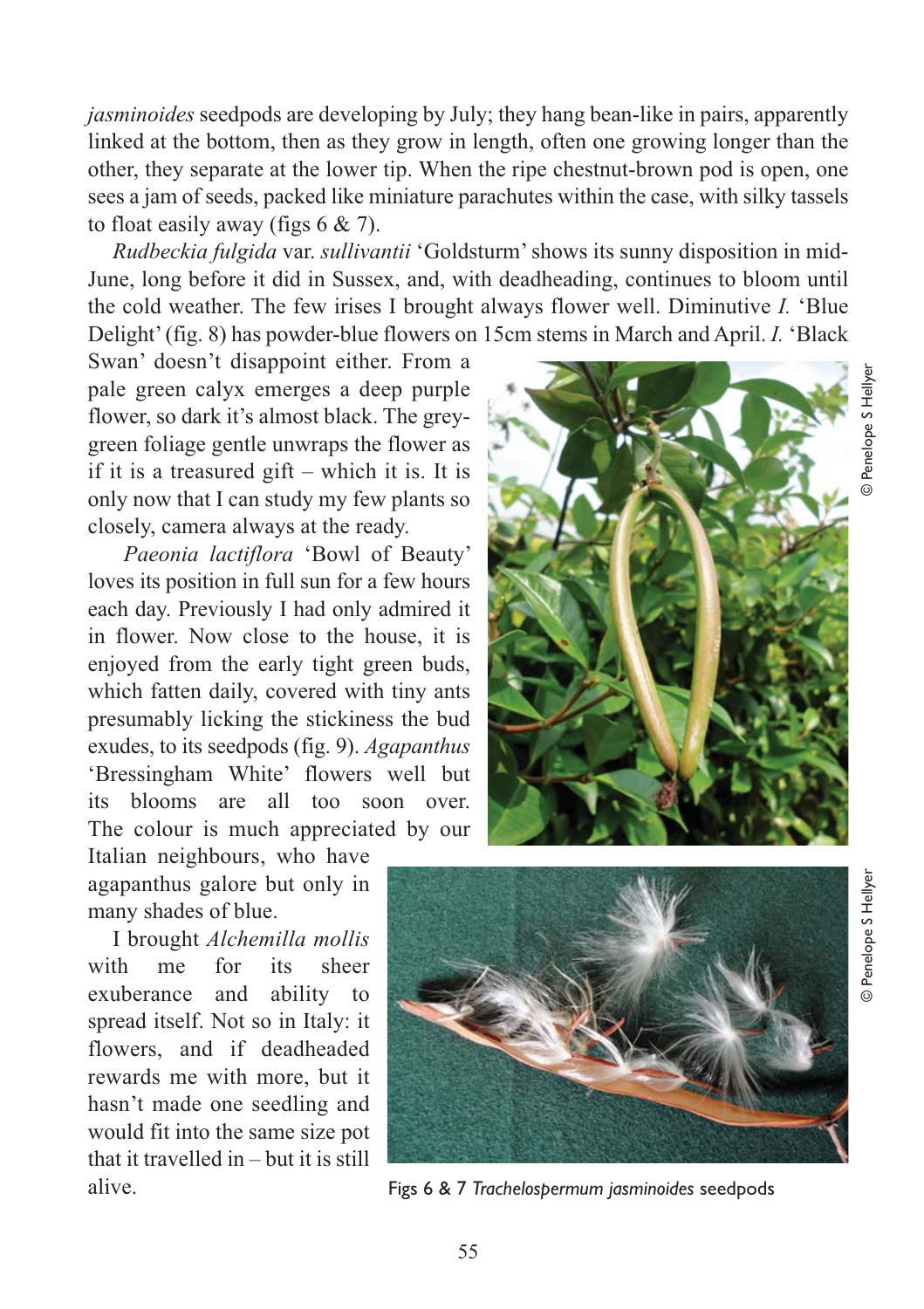*jasminoides* seedpods are developing by July; they hang bean-like in pairs, apparently linked at the bottom, then as they grow in length, often one growing longer than the other, they separate at the lower tip. When the ripe chestnut-brown pod is open, one sees a jam of seeds, packed like miniature parachutes within the case, with silky tassels to float easily away (figs 6 & 7).

*Rudbeckia fulgida* var. *sullivantii* 'Goldsturm' shows its sunny disposition in mid-June, long before it did in Sussex, and, with deadheading, continues to bloom until the cold weather. The few irises I brought always flower well. Diminutive *I.* 'Blue Delight' (fig. 8) has powder-blue flowers on 15cm stems in March and April. *I.* 'Black

Swan' doesn't disappoint either. From a pale green calyx emerges a deep purple flower, so dark it's almost black. The greygreen foliage gentle unwraps the flower as if it is a treasured gift – which it is. It is only now that I can study my few plants so closely, camera always at the ready.

*Paeonia lactiflora* 'Bowl of Beauty' loves its position in full sun for a few hours each day. Previously I had only admired it in flower. Now close to the house, it is enjoyed from the early tight green buds, which fatten daily, covered with tiny ants presumably licking the stickiness the bud exudes, to its seedpods (fig. 9). *Agapanthus* 'Bressingham White' flowers well but its blooms are all too soon over. The colour is much appreciated by our

Italian neighbours, who have agapanthus galore but only in many shades of blue.

I brought *Alchemilla mollis* with me for its sheer exuberance and ability to spread itself. Not so in Italy: it flowers, and if deadheaded rewards me with more, but it hasn't made one seedling and would fit into the same size pot that it travelled in – but it is still alive.





© Penelope S Hellyer

**Denelope S Hellye** 



Figs 6 & 7 *Trachelospermum jasminoides* seedpods